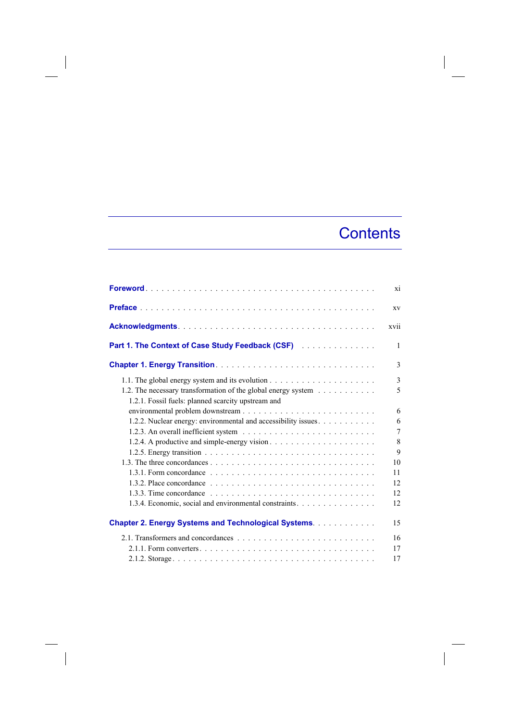## **Contents**

 $\overline{\phantom{a}}$ 

|                                                                                                                     | xi             |
|---------------------------------------------------------------------------------------------------------------------|----------------|
|                                                                                                                     | <b>XV</b>      |
|                                                                                                                     | <b>XV11</b>    |
| Part 1. The Context of Case Study Feedback (CSF) [11] Later Linessens Lines                                         | 1              |
|                                                                                                                     | 3              |
| 1.2. The necessary transformation of the global energy system<br>1.2.1. Fossil fuels: planned scarcity upstream and | 3<br>5         |
| 1.2.2. Nuclear energy: environmental and accessibility issues.                                                      | 6<br>6<br>7    |
|                                                                                                                     | 8<br>9         |
|                                                                                                                     | 10<br>11<br>12 |
| 1.3.4. Economic, social and environmental constraints.                                                              | 12<br>12       |
| <b>Chapter 2. Energy Systems and Technological Systems.</b>                                                         | 15             |
| 2.1. Transformers and concordances $\ldots$ , $\ldots$ , $\ldots$ , $\ldots$ , $\ldots$ , $\ldots$ , $\ldots$       | 16<br>17<br>17 |

 $\begin{array}{c} \hline \end{array}$ 

 $\overline{\phantom{a}}$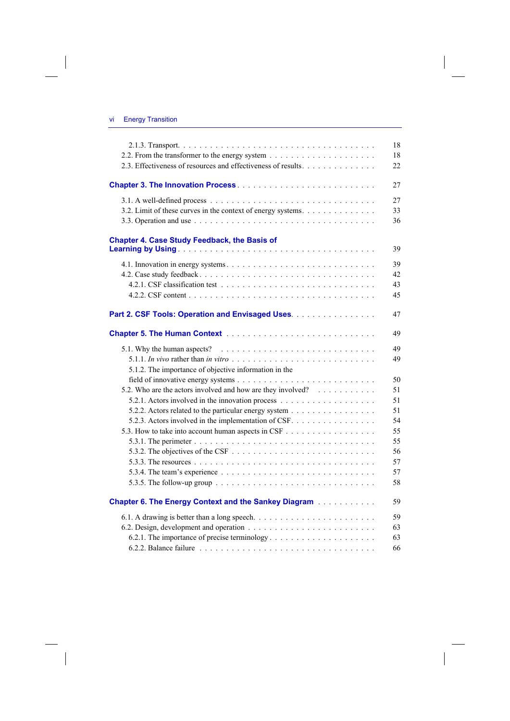$\overline{\phantom{a}}$ 

 $\overline{\phantom{a}}$ 

|                                                                                                                                                        | 18 |
|--------------------------------------------------------------------------------------------------------------------------------------------------------|----|
|                                                                                                                                                        | 18 |
| 2.3. Effectiveness of resources and effectiveness of results.                                                                                          | 22 |
|                                                                                                                                                        | 27 |
|                                                                                                                                                        | 27 |
| 3.2. Limit of these curves in the context of energy systems.                                                                                           | 33 |
|                                                                                                                                                        | 36 |
| <b>Chapter 4. Case Study Feedback, the Basis of</b>                                                                                                    | 39 |
|                                                                                                                                                        |    |
|                                                                                                                                                        | 39 |
|                                                                                                                                                        | 42 |
|                                                                                                                                                        | 43 |
|                                                                                                                                                        | 45 |
| Part 2. CSF Tools: Operation and Envisaged Uses.                                                                                                       | 47 |
|                                                                                                                                                        | 49 |
| 5.1. Why the human aspects? $\ldots \ldots \ldots \ldots \ldots \ldots \ldots \ldots \ldots$                                                           | 49 |
|                                                                                                                                                        | 49 |
| 5.1.2. The importance of objective information in the                                                                                                  |    |
|                                                                                                                                                        | 50 |
| 5.2. Who are the actors involved and how are they involved?                                                                                            | 51 |
|                                                                                                                                                        | 51 |
| 5.2.2. Actors related to the particular energy system                                                                                                  | 51 |
| 5.2.3. Actors involved in the implementation of CSF.                                                                                                   | 54 |
|                                                                                                                                                        | 55 |
|                                                                                                                                                        | 55 |
| 5.3.2. The objectives of the CSF $\ldots$ $\ldots$ $\ldots$ $\ldots$ $\ldots$ $\ldots$ $\ldots$ $\ldots$ $\ldots$                                      | 56 |
|                                                                                                                                                        | 57 |
|                                                                                                                                                        | 57 |
|                                                                                                                                                        | 58 |
| <b>Chapter 6. The Energy Context and the Sankey Diagram Administration Chapter 6. The Energy Context and the Sankey Diagram Administration Chapter</b> | 59 |
|                                                                                                                                                        | 59 |
|                                                                                                                                                        | 63 |
|                                                                                                                                                        | 63 |
|                                                                                                                                                        | 66 |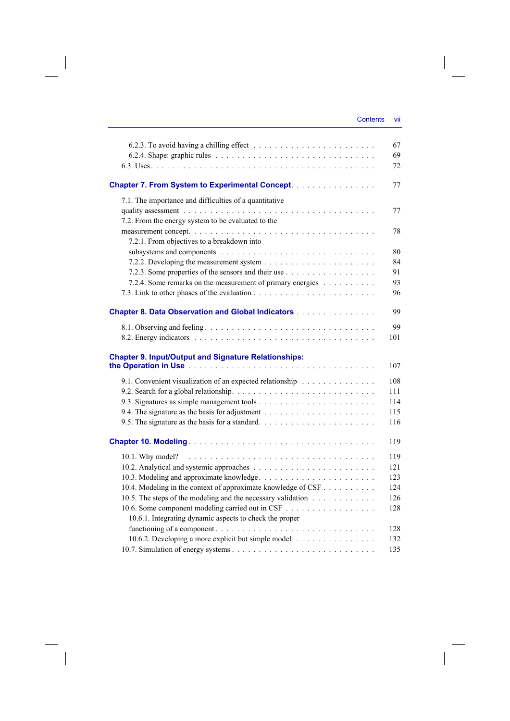|                                                               | 67  |
|---------------------------------------------------------------|-----|
|                                                               | 69  |
|                                                               | 72  |
| <b>Chapter 7. From System to Experimental Concept.</b>        | 77  |
| 7.1. The importance and difficulties of a quantitative        |     |
|                                                               | 77  |
| 7.2. From the energy system to be evaluated to the            |     |
|                                                               | 78  |
| 7.2.1. From objectives to a breakdown into                    |     |
|                                                               | 80  |
|                                                               | 84  |
|                                                               | 91  |
| 7.2.4. Some remarks on the measurement of primary energies    | 93  |
|                                                               | 96  |
| <b>Chapter 8. Data Observation and Global Indicators</b>      | 99  |
|                                                               |     |
|                                                               | 99  |
|                                                               | 101 |
| <b>Chapter 9. Input/Output and Signature Relationships:</b>   |     |
|                                                               | 107 |
| 9.1. Convenient visualization of an expected relationship     | 108 |
|                                                               | 111 |
|                                                               | 114 |
|                                                               | 115 |
|                                                               | 116 |
|                                                               | 119 |
|                                                               |     |
|                                                               | 119 |
|                                                               | 121 |
|                                                               | 123 |
| 10.4. Modeling in the context of approximate knowledge of CSF | 124 |
| 10.5. The steps of the modeling and the necessary validation  | 126 |
| 10.6. Some component modeling carried out in CSF              | 128 |
| 10.6.1. Integrating dynamic aspects to check the proper       |     |
|                                                               | 128 |
| 10.6.2. Developing a more explicit but simple model           | 132 |
|                                                               | 135 |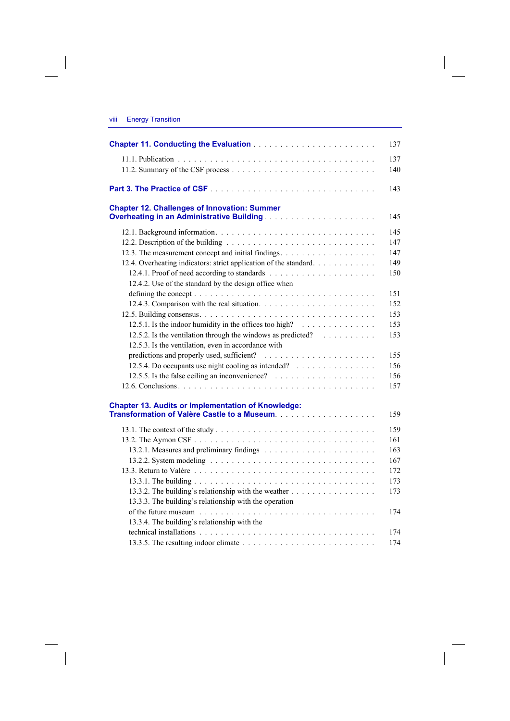|      | <b>Energy Transition</b> |  |
|------|--------------------------|--|
| VIII |                          |  |
|      |                          |  |
|      |                          |  |

| <b>Chapter 12. Challenges of Innovation: Summer</b>               |
|-------------------------------------------------------------------|
|                                                                   |
|                                                                   |
|                                                                   |
| 12.3. The measurement concept and initial findings.               |
| 12.4. Overheating indicators: strict application of the standard. |
|                                                                   |
| 12.4.2. Use of the standard by the design office when             |
|                                                                   |
|                                                                   |
|                                                                   |
|                                                                   |
| 12.5.2. Is the ventilation through the windows as predicted?      |
| 12.5.3. Is the ventilation, even in accordance with               |
|                                                                   |
| 12.5.4. Do occupants use night cooling as intended?               |
|                                                                   |
|                                                                   |
| <b>Chapter 13. Audits or Implementation of Knowledge:</b>         |
|                                                                   |
|                                                                   |
|                                                                   |
|                                                                   |
|                                                                   |
|                                                                   |
|                                                                   |
| 13.3.2. The building's relationship with the weather              |
| 13.3.3. The building's relationship with the operation            |
|                                                                   |
| 13.3.4. The building's relationship with the                      |
|                                                                   |
|                                                                   |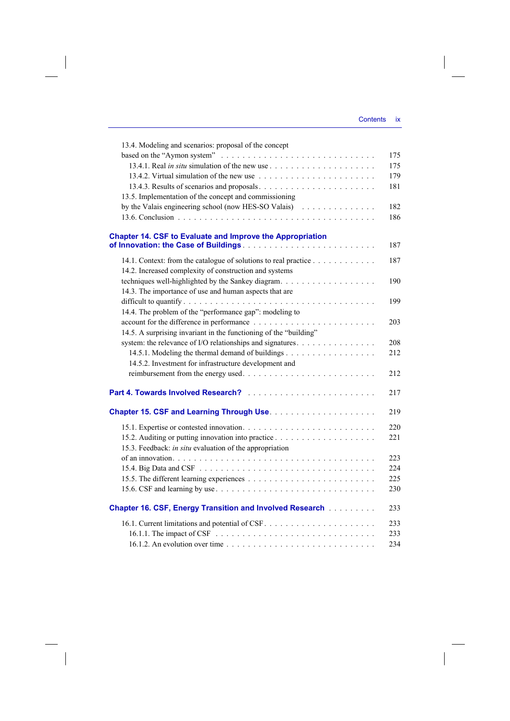$\overline{\phantom{a}}$ 

| 175<br>175<br>179<br>181<br>13.5. Implementation of the concept and commissioning<br>by the Valais engineering school (now HES-SO Valais)<br>182<br>186<br><b>Chapter 14. CSF to Evaluate and Improve the Appropriation</b><br>187<br>14.1. Context: from the catalogue of solutions to real practice<br>187<br>14.2. Increased complexity of construction and systems<br>190<br>14.3. The importance of use and human aspects that are<br>199<br>14.4. The problem of the "performance gap": modeling to<br>203<br>14.5. A surprising invariant in the functioning of the "building"<br>system: the relevance of I/O relationships and signatures.<br>208<br>212<br>14.5.2. Investment for infrastructure development and<br>212<br>217<br>219<br>220<br>221<br>15.3. Feedback: in situ evaluation of the appropriation<br>223<br>224<br>225<br>230<br><b>Chapter 16. CSF, Energy Transition and Involved Research [1] Linus Linus</b><br>233<br>233<br>233 | 13.4. Modeling and scenarios: proposal of the concept                                                  |     |
|--------------------------------------------------------------------------------------------------------------------------------------------------------------------------------------------------------------------------------------------------------------------------------------------------------------------------------------------------------------------------------------------------------------------------------------------------------------------------------------------------------------------------------------------------------------------------------------------------------------------------------------------------------------------------------------------------------------------------------------------------------------------------------------------------------------------------------------------------------------------------------------------------------------------------------------------------------------|--------------------------------------------------------------------------------------------------------|-----|
|                                                                                                                                                                                                                                                                                                                                                                                                                                                                                                                                                                                                                                                                                                                                                                                                                                                                                                                                                              |                                                                                                        |     |
|                                                                                                                                                                                                                                                                                                                                                                                                                                                                                                                                                                                                                                                                                                                                                                                                                                                                                                                                                              |                                                                                                        |     |
|                                                                                                                                                                                                                                                                                                                                                                                                                                                                                                                                                                                                                                                                                                                                                                                                                                                                                                                                                              |                                                                                                        |     |
|                                                                                                                                                                                                                                                                                                                                                                                                                                                                                                                                                                                                                                                                                                                                                                                                                                                                                                                                                              |                                                                                                        |     |
|                                                                                                                                                                                                                                                                                                                                                                                                                                                                                                                                                                                                                                                                                                                                                                                                                                                                                                                                                              |                                                                                                        |     |
|                                                                                                                                                                                                                                                                                                                                                                                                                                                                                                                                                                                                                                                                                                                                                                                                                                                                                                                                                              |                                                                                                        |     |
|                                                                                                                                                                                                                                                                                                                                                                                                                                                                                                                                                                                                                                                                                                                                                                                                                                                                                                                                                              |                                                                                                        |     |
|                                                                                                                                                                                                                                                                                                                                                                                                                                                                                                                                                                                                                                                                                                                                                                                                                                                                                                                                                              |                                                                                                        |     |
|                                                                                                                                                                                                                                                                                                                                                                                                                                                                                                                                                                                                                                                                                                                                                                                                                                                                                                                                                              |                                                                                                        |     |
|                                                                                                                                                                                                                                                                                                                                                                                                                                                                                                                                                                                                                                                                                                                                                                                                                                                                                                                                                              |                                                                                                        |     |
|                                                                                                                                                                                                                                                                                                                                                                                                                                                                                                                                                                                                                                                                                                                                                                                                                                                                                                                                                              |                                                                                                        |     |
|                                                                                                                                                                                                                                                                                                                                                                                                                                                                                                                                                                                                                                                                                                                                                                                                                                                                                                                                                              |                                                                                                        |     |
|                                                                                                                                                                                                                                                                                                                                                                                                                                                                                                                                                                                                                                                                                                                                                                                                                                                                                                                                                              |                                                                                                        |     |
|                                                                                                                                                                                                                                                                                                                                                                                                                                                                                                                                                                                                                                                                                                                                                                                                                                                                                                                                                              |                                                                                                        |     |
|                                                                                                                                                                                                                                                                                                                                                                                                                                                                                                                                                                                                                                                                                                                                                                                                                                                                                                                                                              |                                                                                                        |     |
|                                                                                                                                                                                                                                                                                                                                                                                                                                                                                                                                                                                                                                                                                                                                                                                                                                                                                                                                                              |                                                                                                        |     |
|                                                                                                                                                                                                                                                                                                                                                                                                                                                                                                                                                                                                                                                                                                                                                                                                                                                                                                                                                              |                                                                                                        |     |
|                                                                                                                                                                                                                                                                                                                                                                                                                                                                                                                                                                                                                                                                                                                                                                                                                                                                                                                                                              |                                                                                                        |     |
|                                                                                                                                                                                                                                                                                                                                                                                                                                                                                                                                                                                                                                                                                                                                                                                                                                                                                                                                                              |                                                                                                        |     |
|                                                                                                                                                                                                                                                                                                                                                                                                                                                                                                                                                                                                                                                                                                                                                                                                                                                                                                                                                              |                                                                                                        |     |
|                                                                                                                                                                                                                                                                                                                                                                                                                                                                                                                                                                                                                                                                                                                                                                                                                                                                                                                                                              |                                                                                                        |     |
|                                                                                                                                                                                                                                                                                                                                                                                                                                                                                                                                                                                                                                                                                                                                                                                                                                                                                                                                                              |                                                                                                        |     |
|                                                                                                                                                                                                                                                                                                                                                                                                                                                                                                                                                                                                                                                                                                                                                                                                                                                                                                                                                              |                                                                                                        |     |
|                                                                                                                                                                                                                                                                                                                                                                                                                                                                                                                                                                                                                                                                                                                                                                                                                                                                                                                                                              |                                                                                                        |     |
|                                                                                                                                                                                                                                                                                                                                                                                                                                                                                                                                                                                                                                                                                                                                                                                                                                                                                                                                                              |                                                                                                        |     |
|                                                                                                                                                                                                                                                                                                                                                                                                                                                                                                                                                                                                                                                                                                                                                                                                                                                                                                                                                              |                                                                                                        |     |
|                                                                                                                                                                                                                                                                                                                                                                                                                                                                                                                                                                                                                                                                                                                                                                                                                                                                                                                                                              |                                                                                                        |     |
|                                                                                                                                                                                                                                                                                                                                                                                                                                                                                                                                                                                                                                                                                                                                                                                                                                                                                                                                                              |                                                                                                        |     |
|                                                                                                                                                                                                                                                                                                                                                                                                                                                                                                                                                                                                                                                                                                                                                                                                                                                                                                                                                              |                                                                                                        |     |
|                                                                                                                                                                                                                                                                                                                                                                                                                                                                                                                                                                                                                                                                                                                                                                                                                                                                                                                                                              |                                                                                                        |     |
|                                                                                                                                                                                                                                                                                                                                                                                                                                                                                                                                                                                                                                                                                                                                                                                                                                                                                                                                                              |                                                                                                        |     |
|                                                                                                                                                                                                                                                                                                                                                                                                                                                                                                                                                                                                                                                                                                                                                                                                                                                                                                                                                              |                                                                                                        |     |
|                                                                                                                                                                                                                                                                                                                                                                                                                                                                                                                                                                                                                                                                                                                                                                                                                                                                                                                                                              |                                                                                                        |     |
|                                                                                                                                                                                                                                                                                                                                                                                                                                                                                                                                                                                                                                                                                                                                                                                                                                                                                                                                                              |                                                                                                        |     |
|                                                                                                                                                                                                                                                                                                                                                                                                                                                                                                                                                                                                                                                                                                                                                                                                                                                                                                                                                              |                                                                                                        |     |
|                                                                                                                                                                                                                                                                                                                                                                                                                                                                                                                                                                                                                                                                                                                                                                                                                                                                                                                                                              |                                                                                                        |     |
|                                                                                                                                                                                                                                                                                                                                                                                                                                                                                                                                                                                                                                                                                                                                                                                                                                                                                                                                                              |                                                                                                        |     |
|                                                                                                                                                                                                                                                                                                                                                                                                                                                                                                                                                                                                                                                                                                                                                                                                                                                                                                                                                              |                                                                                                        |     |
|                                                                                                                                                                                                                                                                                                                                                                                                                                                                                                                                                                                                                                                                                                                                                                                                                                                                                                                                                              | 16.1.2. An evolution over time $\ldots \ldots \ldots \ldots \ldots \ldots \ldots \ldots \ldots \ldots$ | 234 |

 $\overline{\phantom{a}}$ 

 $\begin{array}{c} \hline \end{array}$